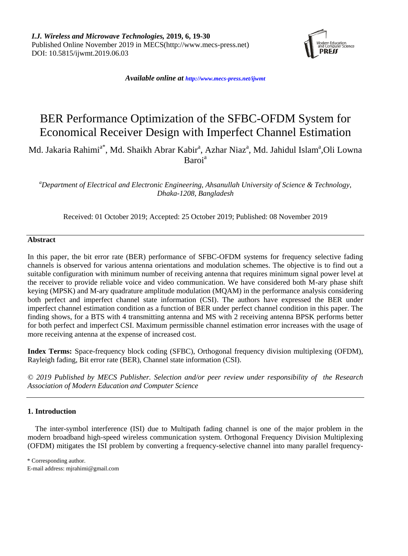

*Available online at <http://www.mecs-press.net/ijwmt>*

# BER Performance Optimization of the SFBC-OFDM System for Economical Receiver Design with Imperfect Channel Estimation

Md. Jakaria Rahimi<sup>a\*</sup>, Md. Shaikh Abrar Kabir<sup>a</sup>, Azhar Niaz<sup>a</sup>, Md. Jahidul Islam<sup>a</sup>,Oli Lowna Baroi<sup>a</sup>

*<sup>a</sup>Department of Electrical and Electronic Engineering, Ahsanullah University of Science & Technology, Dhaka-1208, Bangladesh*

Received: 01 October 2019; Accepted: 25 October 2019; Published: 08 November 2019

## **Abstract**

In this paper, the bit error rate (BER) performance of SFBC-OFDM systems for frequency selective fading channels is observed for various antenna orientations and modulation schemes. The objective is to find out a suitable configuration with minimum number of receiving antenna that requires minimum signal power level at the receiver to provide reliable voice and video communication. We have considered both M-ary phase shift keying (MPSK) and M-ary quadrature amplitude modulation (MQAM) in the performance analysis considering both perfect and imperfect channel state information (CSI). The authors have expressed the BER under imperfect channel estimation condition as a function of BER under perfect channel condition in this paper. The finding shows, for a BTS with 4 transmitting antenna and MS with 2 receiving antenna BPSK performs better for both perfect and imperfect CSI. Maximum permissible channel estimation error increases with the usage of more receiving antenna at the expense of increased cost.

**Index Terms:** Space-frequency block coding (SFBC), Orthogonal frequency division multiplexing (OFDM), Rayleigh fading, Bit error rate (BER), Channel state information (CSI).

*© 2019 Published by MECS Publisher. Selection and/or peer review under responsibility of the Research Association of Modern Education and Computer Science*

## **1. Introduction**

The inter-symbol interference (ISI) due to Multipath fading channel is one of the major problem in the modern broadband high-speed wireless communication system. Orthogonal Frequency Division Multiplexing (OFDM) mitigates the ISI problem by converting a frequency-selective channel into many parallel frequency-

\* Corresponding author. E-mail address: mjrahimi@gmail.com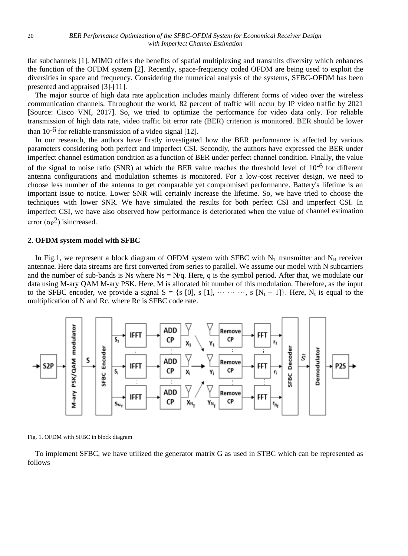flat subchannels [1]. MIMO offers the benefits of spatial multiplexing and transmits diversity which enhances the function of the OFDM system [2]. Recently, space-frequency coded OFDM are being used to exploit the diversities in space and frequency. Considering the numerical analysis of the systems, SFBC-OFDM has been presented and appraised [3]-[11].

The major source of high data rate application includes mainly different forms of video over the wireless communication channels. Throughout the world, 82 percent of traffic will occur by IP video traffic by 2021 [Source: Cisco VNI, 2017]. So, we tried to optimize the performance for video data only. For reliable transmission of high data rate, video traffic bit error rate (BER) criterion is monitored. BER should be lower than  $10^{-6}$  for reliable transmission of a video signal [12].

In our research, the authors have firstly investigated how the BER performance is affected by various parameters considering both perfect and imperfect CSI. Secondly, the authors have expressed the BER under imperfect channel estimation condition as a function of BER under perfect channel condition. Finally, the value of the signal to noise ratio (SNR) at which the BER value reaches the threshold level of  $10^{-6}$  for different antenna configurations and modulation schemes is monitored. For a low-cost receiver design, we need to choose less number of the antenna to get comparable yet compromised performance. Battery's lifetime is an important issue to notice. Lower SNR will certainly increase the lifetime. So, we have tried to choose the techniques with lower SNR. We have simulated the results for both perfect CSI and imperfect CSI. In imperfect CSI, we have also observed how performance is deteriorated when the value of channel estimation error  $(\sigma_e^2)$  isincreased.

## **2. OFDM system model with SFBC**

In Fig.1, we represent a block diagram of OFDM system with SFBC with  $N_T$  transmitter and  $N_R$  receiver antennae. Here data streams are first converted from series to parallel. We assume our model with N subcarriers and the number of sub-bands is Ns where  $Ns = N/q$ . Here, q is the symbol period. After that, we modulate our data using M-ary QAM M-ary PSK. Here, M is allocated bit number of this modulation. Therefore, as the input to the SFBC encoder, we provide a signal  $S = \{s \; [0], s \; [1], \cdots \cdots \cdots \}$ ,  $s \; [N_t - 1]\}$ . Here,  $N_t$  is equal to the multiplication of N and Rc, where Rc is SFBC code rate.



Fig. 1. OFDM with SFBC in block diagram

To implement SFBC, we have utilized the generator matrix G as used in STBC which can be represented as follows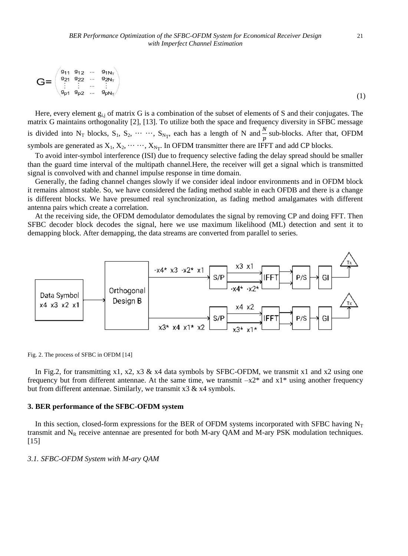$$
\mathbf{G} = \begin{pmatrix} g_{11} & g_{12} & \cdots & g_{1N_{\tau}} \\ g_{21} & g_{22} & \cdots & g_{2N_{\tau}} \\ \vdots & \vdots & \cdots & \vdots \\ g_{p1} & g_{p2} & \cdots & g_{pN_{\tau}} \end{pmatrix} \tag{1}
$$

Here, every element  $g_{i,j}$  of matrix G is a combination of the subset of elements of S and their conjugates. The matrix G maintains orthogonality [2], [13]. To utilize both the space and frequency diversity in SFBC message is divided into N<sub>T</sub> blocks, S<sub>1</sub>, S<sub>2</sub>,  $\cdots$   $\cdots$ , S<sub>NT</sub>, each has a length of N and  $\frac{N}{p}$  sub-blocks. After that, OFDM symbols are generated as  $X_1, X_2, \dots, X_{N_T}$ . In OFDM transmitter there are IFFT and add CP blocks.

To avoid inter-symbol interference (ISI) due to frequency selective fading the delay spread should be smaller than the guard time interval of the multipath channel.Here, the receiver will get a signal which is transmitted signal is convolved with and channel impulse response in time domain.

Generally, the fading channel changes slowly if we consider ideal indoor environments and in OFDM block it remains almost stable. So, we have considered the fading method stable in each OFDB and there is a change is different blocks. We have presumed real synchronization, as fading method amalgamates with different antenna pairs which create a correlation.

At the receiving side, the OFDM demodulator demodulates the signal by removing CP and doing FFT. Then SFBC decoder block decodes the signal, here we use maximum likelihood (ML) detection and sent it to demapping block. After demapping, the data streams are converted from parallel to series.



Fig. 2. The process of SFBC in OFDM [14]

In Fig.2, for transmitting x1, x2, x3 & x4 data symbols by SFBC-OFDM, we transmit x1 and x2 using one frequency but from different antennae. At the same time, we transmit  $-x2^*$  and  $x1^*$  using another frequency but from different antennae. Similarly, we transmit x3 & x4 symbols.

## **3. BER performance of the SFBC-OFDM system**

In this section, closed-form expressions for the BER of OFDM systems incorporated with SFBC having  $N_T$ transmit and  $N_R$  receive antennae are presented for both M-ary QAM and M-ary PSK modulation techniques.  $[15]$ 

## *3.1. SFBC-OFDM System with M-ary QAM*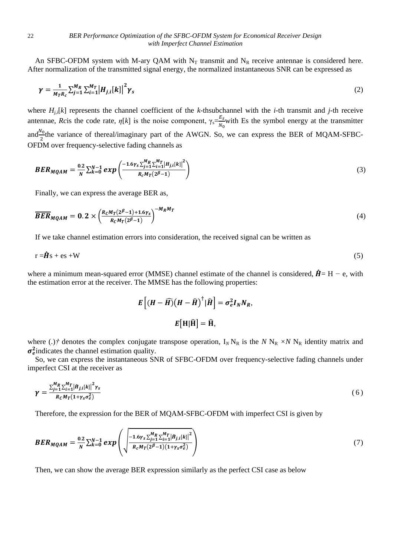An SFBC-OFDM system with M-ary QAM with  $N_T$  transmit and  $N_R$  receive antennae is considered here. After normalization of the transmitted signal energy, the normalized instantaneous SNR can be expressed as

$$
\gamma = \frac{1}{M_T R_c} \sum_{j=1}^{M_R} \sum_{i=1}^{M_T} \left| H_{j,i}[k] \right|^2 \gamma_s \tag{2}
$$

where  $H_{i,j}[k]$  represents the channel coefficient of the *k*-thsubchannel with the *i*-th transmit and *j*-th receive antennae, *Rc*is the code rate,  $\eta[k]$  is the noise component,  $\gamma_s = \frac{E_s}{N}$  $\frac{E_S}{N_0}$  with Es the symbol energy at the transmitter and $\frac{N_0}{2}$ the variance of thereal/imaginary part of the AWGN. So, we can express the BER of MQAM-SFBC-OFDM over frequency-selective fading channels as

$$
BER_{MQAM} = \frac{0.2}{N} \sum_{k=0}^{N-1} exp\left(\frac{-1.6\gamma_S \sum_{j=1}^{M_R} \sum_{l=1}^{M_T} |H_{j,l}[k]|^2}{R_c M_T (2^{\beta}-1)}\right)
$$
(3)

Finally, we can express the average BER as,

$$
\overline{BER}_{MQAM} = 0.2 \times \left(\frac{R_c M_T (2^{\beta} - 1) + 1.6 \gamma_s}{R_c M_T (2^{\beta} - 1)}\right)^{-M_R M_T}
$$
(4)

If we take channel estimation errors into consideration, the received signal can be written as

$$
r = \hat{\mathbf{H}}s + \mathbf{e}s + \mathbf{W} \tag{5}
$$

where a minimum mean-squared error (MMSE) channel estimate of the channel is considered,  $\hat{H}$  = H − e, with the estimation error at the receiver. The MMSE has the following properties:

$$
E\left[ (H - \widehat{H})(H - \widehat{H})^{\dagger} | \widehat{H} \right] = \sigma_e^2 I_N N_R,
$$
  

$$
E[H| \widehat{H}] = \widehat{H},
$$

where (.)<sup>†</sup> denotes the complex conjugate transpose operation,  $I_N N_R$  is the  $N N_R \times N N_R$  identity matrix and  $\sigma_e^2$  indicates the channel estimation quality.

So, we can express the instantaneous SNR of SFBC-OFDM over frequency-selective fading channels under imperfect CSI at the receiver as

$$
\gamma = \frac{\sum_{j=1}^{M_R} \sum_{i=1}^{M_T} |h_{j,i}[k]|^2 \gamma_s}{R_c M_T (1 + \gamma_s \sigma_e^2)}
$$
(6)

Therefore, the expression for the BER of MQAM-SFBC-OFDM with imperfect CSI is given by

$$
BER_{MQAM} = \frac{0.2}{N} \sum_{k=0}^{N-1} exp\left(\sqrt{\frac{-1.6\gamma_S \sum_{j=1}^{M_R} \sum_{i=1}^{M_T} [H_{j,i}[k]]^2}{R_c M_T (2^{\beta}-1)(1+\gamma_S \sigma_e^2)}}\right)
$$
(7)

Then, we can show the average BER expression similarly as the perfect CSI case as below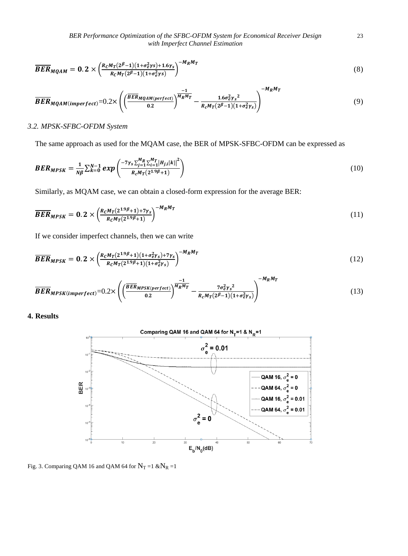*BER Performance Optimization of the SFBC-OFDM System for Economical Receiver Design* 23 *with Imperfect Channel Estimation*

$$
\overline{BER}_{MQAM} = 0.2 \times \left(\frac{R_C M_T (2^{\beta} - 1)(1 + \sigma_e^2 \gamma s) + 1.6 \gamma_s}{R_C M_T (2^{\beta} - 1)(1 + \sigma_e^2 \gamma s)}\right)^{-M_R M_T}
$$
\n(8)

$$
\overline{BER}_{MQAM (imperfect)} = 0.2 \times \left( \left( \frac{\overline{BER}_{MQAM (perfect)}}{0.2} \right)^{\overline{M_R M_T}} - \frac{1.6 \sigma_e^2 \gamma_s^2}{R_c M_T (2^{\beta} - 1)(1 + \sigma_e^2 \gamma_s)} \right)^{-M_R M_T}
$$
(9)

# *3.2. MPSK-SFBC-OFDM System*

The same approach as used for the MQAM case, the BER of MPSK-SFBC-OFDM can be expressed as

$$
BER_{MPSK} = \frac{1}{N\beta} \sum_{k=0}^{N-1} exp\left(\frac{-7\gamma_S \sum_{j=1}^{M_R} \sum_{l=1}^{M_T} |H_{j,l}[k]|^2}{R_c M_T (2^{1.9\beta} + 1)}\right)
$$
(10)

Similarly, as MQAM case, we can obtain a closed-form expression for the average BER:

$$
\overline{BER}_{MPSK} = 0.2 \times \left(\frac{R_C M_T (2^{1.9\beta} + 1) + 7\gamma_S}{R_C M_T (2^{1.9\beta} + 1)}\right)^{-M_R M_T}
$$
\n(11)

If we consider imperfect channels, then we can write

$$
\overline{BER}_{MPSK} = 0.2 \times \left(\frac{R_c M_T (2^{1.9\beta} + 1)(1 + \sigma_e^2 \gamma_s) + 7\gamma_s}{R_c M_T (2^{1.9\beta} + 1)(1 + \sigma_e^2 \gamma_s)}\right)^{-M_R M_T}
$$
(12)

$$
\overline{BER}_{MPSK(imperfect)} = 0.2 \times \left( \left( \frac{\overline{BER}_{MPSK(perfect)}}{0.2} \right)^{\frac{-1}{M_R M_T}} - \frac{7\sigma_e^2 \gamma_s^2}{R_c M_T (2^B - 1)(1 + \sigma_e^2 \gamma_s)} \right)^{-M_R M_T}
$$
(13)

**4. Results**



Fig. 3. Comparing QAM 16 and QAM 64 for  $N_T = 1$  & $N_R = 1$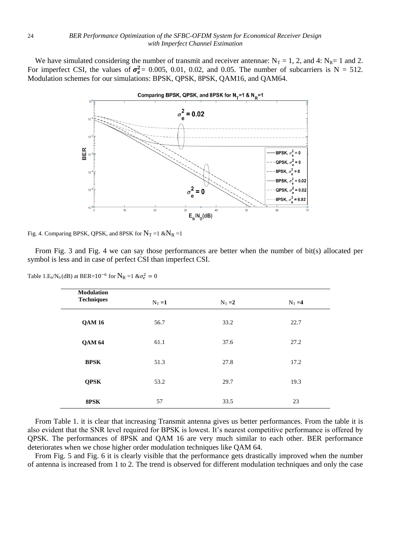We have simulated considering the number of transmit and receiver antennae:  $N_T = 1$ , 2, and 4:  $N_R = 1$  and 2. For imperfect CSI, the values of  $\sigma_e^2 = 0.005$ , 0.01, 0.02, and 0.05. The number of subcarriers is N = 512. Modulation schemes for our simulations: BPSK, QPSK, 8PSK, QAM16, and QAM64.



Fig. 4. Comparing BPSK, QPSK, and 8PSK for  $N_T = 1$  & $N_R = 1$ 

From Fig. 3 and Fig. 4 we can say those performances are better when the number of bit(s) allocated per symbol is less and in case of perfect CSI than imperfect CSI.

Table 1.E<sub>b</sub>/N<sub>0</sub>(dB) at BER=10<sup>-6</sup> for  $N_R$  =1 & $\sigma_e^2 = 0$ 

| <b>Modulation</b><br><b>Techniques</b> |           |           |           |  |
|----------------------------------------|-----------|-----------|-----------|--|
|                                        | $N_T = 1$ | $N_T = 2$ | $N_T = 4$ |  |
| <b>QAM16</b>                           | 56.7      | 33.2      | 22.7      |  |
| <b>QAM 64</b>                          | 61.1      | 37.6      | 27.2      |  |
| <b>BPSK</b>                            | 51.3      | 27.8      | 17.2      |  |
| <b>QPSK</b>                            | 53.2      | 29.7      | 19.3      |  |
| 8PSK                                   | 57        | 33.5      | 23        |  |

From Table 1. it is clear that increasing Transmit antenna gives us better performances. From the table it is also evident that the SNR level required for BPSK is lowest. It's nearest competitive performance is offered by QPSK. The performances of 8PSK and QAM 16 are very much similar to each other. BER performance deteriorates when we chose higher order modulation techniques like QAM 64.

From Fig. 5 and Fig. 6 it is clearly visible that the performance gets drastically improved when the number of antenna is increased from 1 to 2. The trend is observed for different modulation techniques and only the case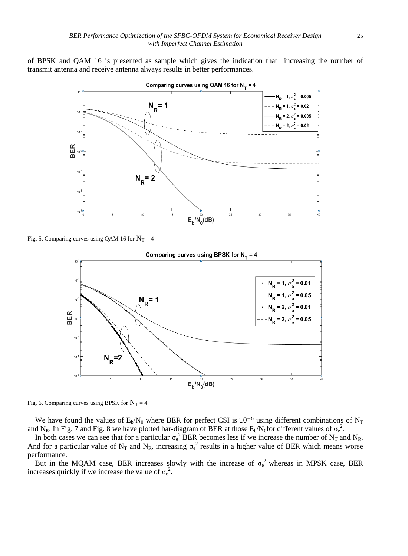of BPSK and QAM 16 is presented as sample which gives the indication that increasing the number of transmit antenna and receive antenna always results in better performances.



Comparing curves using QAM 16 for  $N_r = 4$ 

Fig. 5. Comparing curves using QAM 16 for  $N_T = 4$ 



Fig. 6. Comparing curves using BPSK for  $N_T = 4$ 

We have found the values of  $E_b/N_0$  where BER for perfect CSI is 10<sup>-6</sup> using different combinations of N<sub>T</sub> and N<sub>R</sub>. In Fig. 7 and Fig. 8 we have plotted bar-diagram of BER at those  $E_b/N_0$  for different values of  $\sigma_e^2$ .

In both cases we can see that for a particular  $\sigma_e^2$  BER becomes less if we increase the number of N<sub>T</sub> and N<sub>R</sub>. And for a particular value of N<sub>T</sub> and N<sub>R</sub>, increasing  $\sigma_e^2$  results in a higher value of BER which means worse performance.

But in the MQAM case, BER increases slowly with the increase of  $\sigma_e^2$  whereas in MPSK case, BER increases quickly if we increase the value of  $\sigma_e^2$ .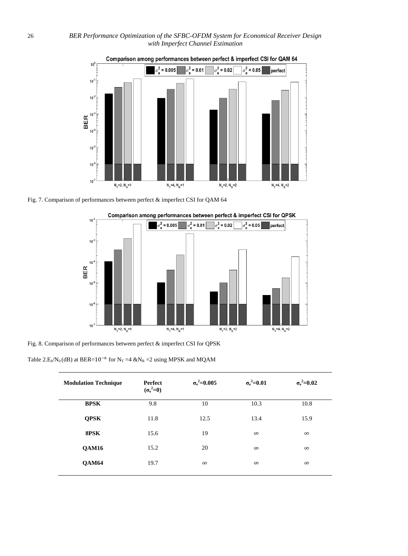

Fig. 7. Comparison of performances between perfect & imperfect CSI for QAM 64



Comparison among performances between perfect & imperfect CSI for QPSK

Fig. 8. Comparison of performances between perfect & imperfect CSI for QPSK

Table 2.E<sub>b</sub>/N<sub>0</sub>(dB) at BER=10<sup>-6</sup> for N<sub>T</sub> =4 &N<sub>R</sub> =2 using MPSK and MQAM

| <b>Modulation Technique</b> | Perfect<br>$(\sigma_e^2=0)$ | $\sigma_{\rm e}^2$ = 0.005 | $\sigma_{\rm e}^2$ =0.01 | $\sigma_{\rm e}^2$ =0.02 |
|-----------------------------|-----------------------------|----------------------------|--------------------------|--------------------------|
| <b>BPSK</b>                 | 9.8                         | 10                         | 10.3                     | 10.8                     |
| <b>QPSK</b>                 | 11.8                        | 12.5                       | 13.4                     | 15.9                     |
| 8PSK                        | 15.6                        | 19                         | $\infty$                 | $\infty$                 |
| <b>QAM16</b>                | 15.2                        | 20                         | $\infty$                 | $\infty$                 |
| <b>QAM64</b>                | 19.7                        | $\infty$                   | $\infty$                 | $\infty$                 |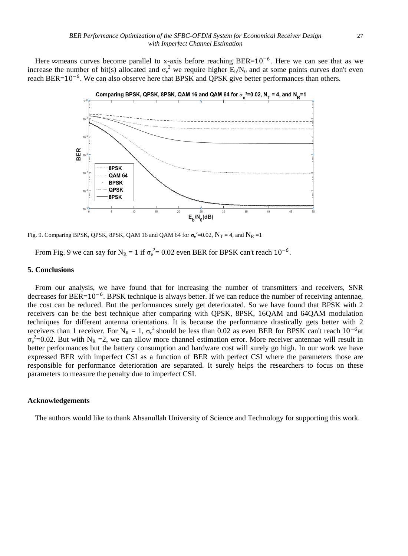Here ∞means curves become parallel to x-axis before reaching BER=10<sup>-6</sup>. Here we can see that as we increase the number of bit(s) allocated and  $\sigma_e^2$  we require higher  $E_b/N_0$  and at some points curves don't even reach BER=10<sup>-6</sup>. We can also observe here that BPSK and QPSK give better performances than others.



Fig. 9. Comparing BPSK, QPSK, 8PSK, QAM 16 and QAM 64 for  $\sigma_e^2$ =0.02,  $N_T$  = 4, and  $N_R$  =1

From Fig. 9 we can say for N<sub>R</sub> = 1 if  $\sigma_e^2$  = 0.02 even BER for BPSK can't reach 10<sup>-6</sup>.

#### **5. Conclusions**

From our analysis, we have found that for increasing the number of transmitters and receivers, SNR decreases for BER=10<sup>-6</sup>. BPSK technique is always better. If we can reduce the number of receiving antennae, the cost can be reduced. But the performances surely get deteriorated. So we have found that BPSK with 2 receivers can be the best technique after comparing with QPSK, 8PSK, 16QAM and 64QAM modulation techniques for different antenna orientations. It is because the performance drastically gets better with 2 receivers than 1 receiver. For  $N_R = 1$ ,  $\sigma_e^2$  should be less than 0.02 as even BER for BPSK can't reach  $10^{-6}$ at  $\sigma_e^2$ =0.02. But with N<sub>R</sub> =2, we can allow more channel estimation error. More receiver antennae will result in better performances but the battery consumption and hardware cost will surely go high. In our work we have expressed BER with imperfect CSI as a function of BER with perfect CSI where the parameters those are responsible for performance deterioration are separated. It surely helps the researchers to focus on these parameters to measure the penalty due to imperfect CSI.

## **Acknowledgements**

The authors would like to thank Ahsanullah University of Science and Technology for supporting this work.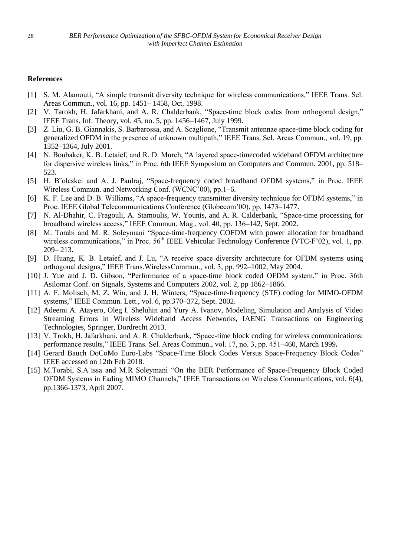## **References**

- [1] S. M. Alamouti, "A simple transmit diversity technique for wireless communications," IEEE Trans. Sel. Areas Commun., vol. 16, pp. 1451– 1458, Oct. 1998.
- [2] V. Tarokh, H. Jafarkhani, and A. R. Chalderbank, "Space-time block codes from orthogonal design," IEEE Trans. Inf. Theory, vol. 45, no. 5, pp. 1456–1467, July 1999.
- [3] Z. Liu, G. B. Giannakis, S. Barbarossa, and A. Scaglione, "Transmit antennae space-time block coding for generalized OFDM in the presence of unknown multipath," IEEE Trans. Sel. Areas Commun., vol. 19, pp. 1352–1364, July 2001.
- [4] N. Boubaker, K. B. Letaief, and R. D. Murch, "A layered space-timecoded wideband OFDM architecture for dispersive wireless links," in Proc. 6th IEEE Symposium on Computers and Commun. 2001, pp. 518– 523.
- [5] H. B¨olcskei and A. J. Paulraj, "Space-frequency coded broadband OFDM systems," in Proc. IEEE Wireless Commun. and Networking Conf. (WCNC'00), pp.1–6.
- [6] K. F. Lee and D. B. Williams, "A space-frequency transmitter diversity technique for OFDM systems," in Proc. IEEE Global Telecommunications Conference (Globecom'00), pp. 1473–1477.
- [7] N. Al-Dhahir, C. Fragouli, A. Stamoulis, W. Younis, and A. R. Calderbank, "Space-time processing for broadband wireless access," IEEE Commun. Mag., vol. 40, pp. 136–142, Sept. 2002.
- [8] M. Torabi and M. R. Soleymani "Space-time-frequency COFDM with power allocation for broadband wireless communications," in Proc. 56<sup>th</sup> IEEE Vehicular Technology Conference (VTC-F'02), vol. 1, pp. 209– 213.
- [9] D. Huang, K. B. Letaief, and J. Lu, "A receive space diversity architecture for OFDM systems using orthogonal designs," IEEE Trans.WirelessCommun., vol. 3, pp. 992–1002, May 2004.
- [10] J. Yue and J. D. Gibson, "Performance of a space-time block coded OFDM system," in Proc. 36th Asilomar Conf. on Signals, Systems and Computers 2002, vol. 2, pp 1862–1866.
- [11] A. F. Molisch, M. Z. Win, and J. H. Winters, "Space-time-frequency (STF) coding for MIMO-OFDM systems," IEEE Commun. Lett., vol. 6, pp.370–372, Sept. 2002.
- [12] Adeemi A. Atayero, Oleg I. Sheluhin and Yury A. Ivanov, Modeling, Simulation and Analysis of Video Streaming Errors in Wireless Wideband Access Networks, IAENG Transactions on Engineering Technologies, Springer, Dordrecht 2013.
- [13] V. Trokh, H. Jafarkhani, and A. R. Chalderbank, "Space-time block coding for wireless communications: performance results," IEEE Trans. Sel. Areas Commun., vol. 17, no. 3, pp. 451–460, March 1999**.**
- [14] Gerard Bauch DoCoMo Euro-Labs "Space-Time Block Codes Versus Space-Frequency Block Codes" IEEE accessed on 12th Feb 2018.
- [15] M.Torabi, S.A¨ıssa and M.R Soleymani "On the BER Performance of Space-Frequency Block Coded OFDM Systems in Fading MIMO Channels," IEEE Transactions on Wireless Communications, vol. 6(4), pp.1366-1373, April 2007.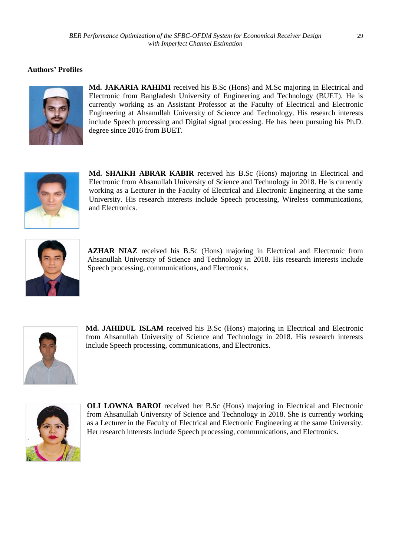# **Authors' Profiles**



**Md. JAKARIA RAHIMI** received his B.Sc (Hons) and M.Sc majoring in Electrical and Electronic from Bangladesh University of Engineering and Technology (BUET). He is currently working as an Assistant Professor at the Faculty of Electrical and Electronic Engineering at Ahsanullah University of Science and Technology. His research interests include Speech processing and Digital signal processing. He has been pursuing his Ph.D. degree since 2016 from BUET.



**Md. SHAIKH ABRAR KABIR** received his B.Sc (Hons) majoring in Electrical and Electronic from Ahsanullah University of Science and Technology in 2018. He is currently working as a Lecturer in the Faculty of Electrical and Electronic Engineering at the same University. His research interests include Speech processing, Wireless communications, and Electronics.



**AZHAR NIAZ** received his B.Sc (Hons) majoring in Electrical and Electronic from Ahsanullah University of Science and Technology in 2018. His research interests include Speech processing, communications, and Electronics.



**Md. JAHIDUL ISLAM** received his B.Sc (Hons) majoring in Electrical and Electronic from Ahsanullah University of Science and Technology in 2018. His research interests include Speech processing, communications, and Electronics.



**OLI LOWNA BAROI** received her B.Sc (Hons) majoring in Electrical and Electronic from Ahsanullah University of Science and Technology in 2018. She is currently working as a Lecturer in the Faculty of Electrical and Electronic Engineering at the same University. Her research interests include Speech processing, communications, and Electronics.